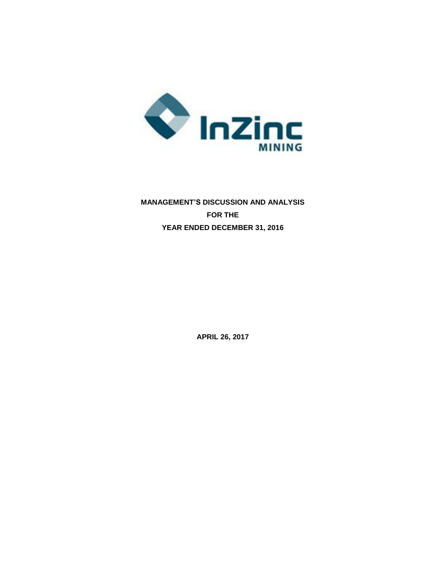

# **MANAGEMENT'S DISCUSSION AND ANALYSIS FOR THE YEAR ENDED DECEMBER 31, 2016**

**APRIL 26, 2017**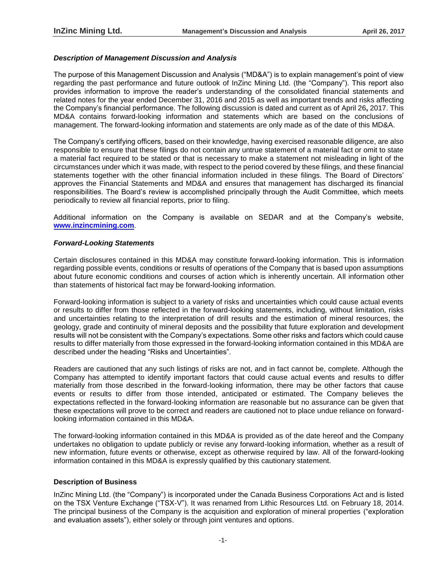# *Description of Management Discussion and Analysis*

The purpose of this Management Discussion and Analysis ("MD&A") is to explain management's point of view regarding the past performance and future outlook of InZinc Mining Ltd. (the "Company"). This report also provides information to improve the reader's understanding of the consolidated financial statements and related notes for the year ended December 31, 2016 and 2015 as well as important trends and risks affecting the Company's financial performance. The following discussion is dated and current as of April 26**,** 2017. This MD&A contains forward-looking information and statements which are based on the conclusions of management. The forward-looking information and statements are only made as of the date of this MD&A.

The Company's certifying officers, based on their knowledge, having exercised reasonable diligence, are also responsible to ensure that these filings do not contain any untrue statement of a material fact or omit to state a material fact required to be stated or that is necessary to make a statement not misleading in light of the circumstances under which it was made, with respect to the period covered by these filings, and these financial statements together with the other financial information included in these filings. The Board of Directors' approves the Financial Statements and MD&A and ensures that management has discharged its financial responsibilities. The Board's review is accomplished principally through the Audit Committee, which meets periodically to review all financial reports, prior to filing.

Additional information on the Company is available on SEDAR and at the Company's website, **[www.inzincmining.com](http://www.lithicresources.com/)**.

# *Forward-Looking Statements*

Certain disclosures contained in this MD&A may constitute forward-looking information. This is information regarding possible events, conditions or results of operations of the Company that is based upon assumptions about future economic conditions and courses of action which is inherently uncertain. All information other than statements of historical fact may be forward-looking information.

Forward-looking information is subject to a variety of risks and uncertainties which could cause actual events or results to differ from those reflected in the forward-looking statements, including, without limitation, risks and uncertainties relating to the interpretation of drill results and the estimation of mineral resources, the geology, grade and continuity of mineral deposits and the possibility that future exploration and development results will not be consistent with the Company's expectations. Some other risks and factors which could cause results to differ materially from those expressed in the forward-looking information contained in this MD&A are described under the heading "Risks and Uncertainties".

Readers are cautioned that any such listings of risks are not, and in fact cannot be, complete. Although the Company has attempted to identify important factors that could cause actual events and results to differ materially from those described in the forward-looking information, there may be other factors that cause events or results to differ from those intended, anticipated or estimated. The Company believes the expectations reflected in the forward-looking information are reasonable but no assurance can be given that these expectations will prove to be correct and readers are cautioned not to place undue reliance on forwardlooking information contained in this MD&A.

The forward-looking information contained in this MD&A is provided as of the date hereof and the Company undertakes no obligation to update publicly or revise any forward-looking information, whether as a result of new information, future events or otherwise, except as otherwise required by law. All of the forward-looking information contained in this MD&A is expressly qualified by this cautionary statement.

# **Description of Business**

InZinc Mining Ltd. (the "Company") is incorporated under the Canada Business Corporations Act and is listed on the TSX Venture Exchange ("TSX-V"). It was renamed from Lithic Resources Ltd. on February 18, 2014. The principal business of the Company is the acquisition and exploration of mineral properties ("exploration and evaluation assets"), either solely or through joint ventures and options.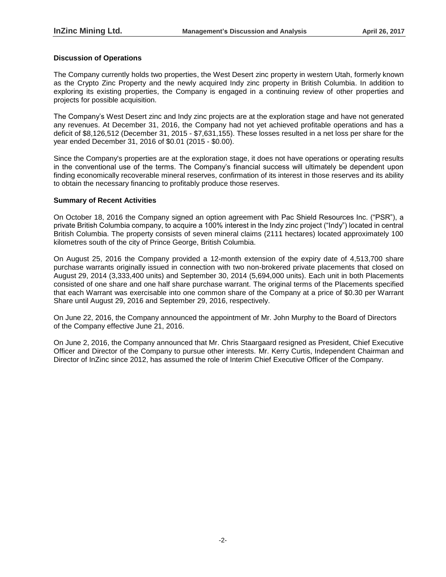# **Discussion of Operations**

The Company currently holds two properties, the West Desert zinc property in western Utah, formerly known as the Crypto Zinc Property and the newly acquired Indy zinc property in British Columbia. In addition to exploring its existing properties, the Company is engaged in a continuing review of other properties and projects for possible acquisition.

The Company's West Desert zinc and Indy zinc projects are at the exploration stage and have not generated any revenues. At December 31, 2016, the Company had not yet achieved profitable operations and has a deficit of \$8,126,512 (December 31, 2015 - \$7,631,155). These losses resulted in a net loss per share for the year ended December 31, 2016 of \$0.01 (2015 - \$0.00).

Since the Company's properties are at the exploration stage, it does not have operations or operating results in the conventional use of the terms. The Company's financial success will ultimately be dependent upon finding economically recoverable mineral reserves, confirmation of its interest in those reserves and its ability to obtain the necessary financing to profitably produce those reserves.

# **Summary of Recent Activities**

On October 18, 2016 the Company signed an option agreement with Pac Shield Resources Inc. ("PSR"), a private British Columbia company, to acquire a 100% interest in the Indy zinc project ("Indy") located in central British Columbia. The property consists of seven mineral claims (2111 hectares) located approximately 100 kilometres south of the city of Prince George, British Columbia.

On August 25, 2016 the Company provided a 12-month extension of the expiry date of 4,513,700 share purchase warrants originally issued in connection with two non-brokered private placements that closed on August 29, 2014 (3,333,400 units) and September 30, 2014 (5,694,000 units). Each unit in both Placements consisted of one share and one half share purchase warrant. The original terms of the Placements specified that each Warrant was exercisable into one common share of the Company at a price of \$0.30 per Warrant Share until August 29, 2016 and September 29, 2016, respectively.

On June 22, 2016, the Company announced the appointment of Mr. John Murphy to the Board of Directors of the Company effective June 21, 2016.

On June 2, 2016, the Company announced that Mr. Chris Staargaard resigned as President, Chief Executive Officer and Director of the Company to pursue other interests. Mr. Kerry Curtis, Independent Chairman and Director of InZinc since 2012, has assumed the role of Interim Chief Executive Officer of the Company.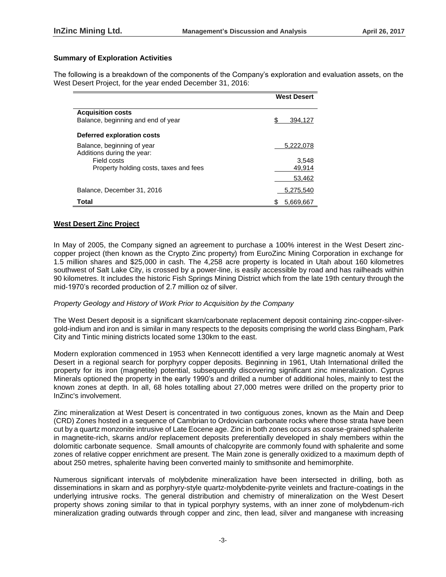# **Summary of Exploration Activities**

The following is a breakdown of the components of the Company's exploration and evaluation assets, on the West Desert Project, for the year ended December 31, 2016:

|                                        | <b>West Desert</b> |
|----------------------------------------|--------------------|
|                                        |                    |
| <b>Acquisition costs</b>               |                    |
| Balance, beginning and end of year     | 394.127            |
|                                        |                    |
| Deferred exploration costs             |                    |
| Balance, beginning of year             | 5,222,078          |
| Additions during the year:             |                    |
| Field costs                            | 3.548              |
| Property holding costs, taxes and fees | 49,914             |
|                                        | 53,462             |
| Balance, December 31, 2016             | 5,275,540          |
| Total                                  | 5,669,667          |

# **West Desert Zinc Project**

In May of 2005, the Company signed an agreement to purchase a 100% interest in the West Desert zinccopper project (then known as the Crypto Zinc property) from EuroZinc Mining Corporation in exchange for 1.5 million shares and \$25,000 in cash. The 4,258 acre property is located in Utah about 160 kilometres southwest of Salt Lake City, is crossed by a power-line, is easily accessible by road and has railheads within 90 kilometres. It includes the historic Fish Springs Mining District which from the late 19th century through the mid-1970's recorded production of 2.7 million oz of silver.

# *Property Geology and History of Work Prior to Acquisition by the Company*

The West Desert deposit is a significant skarn/carbonate replacement deposit containing zinc-copper-silvergold-indium and iron and is similar in many respects to the deposits comprising the world class Bingham, Park City and Tintic mining districts located some 130km to the east.

Modern exploration commenced in 1953 when Kennecott identified a very large magnetic anomaly at West Desert in a regional search for porphyry copper deposits. Beginning in 1961, Utah International drilled the property for its iron (magnetite) potential, subsequently discovering significant zinc mineralization. Cyprus Minerals optioned the property in the early 1990's and drilled a number of additional holes, mainly to test the known zones at depth. In all, 68 holes totalling about 27,000 metres were drilled on the property prior to InZinc's involvement.

Zinc mineralization at West Desert is concentrated in two contiguous zones, known as the Main and Deep (CRD) Zones hosted in a sequence of Cambrian to Ordovician carbonate rocks where those strata have been cut by a quartz monzonite intrusive of Late Eocene age. Zinc in both zones occurs as coarse-grained sphalerite in magnetite-rich, skarns and/or replacement deposits preferentially developed in shaly members within the dolomitic carbonate sequence. Small amounts of chalcopyrite are commonly found with sphalerite and some zones of relative copper enrichment are present. The Main zone is generally oxidized to a maximum depth of about 250 metres, sphalerite having been converted mainly to smithsonite and hemimorphite.

Numerous significant intervals of molybdenite mineralization have been intersected in drilling, both as disseminations in skarn and as porphyry-style quartz-molybdenite-pyrite veinlets and fracture-coatings in the underlying intrusive rocks. The general distribution and chemistry of mineralization on the West Desert property shows zoning similar to that in typical porphyry systems, with an inner zone of molybdenum-rich mineralization grading outwards through copper and zinc, then lead, silver and manganese with increasing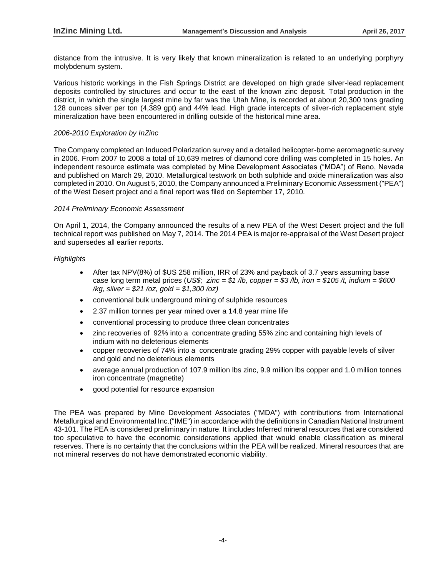distance from the intrusive. It is very likely that known mineralization is related to an underlying porphyry molybdenum system.

Various historic workings in the Fish Springs District are developed on high grade silver-lead replacement deposits controlled by structures and occur to the east of the known zinc deposit. Total production in the district, in which the single largest mine by far was the Utah Mine, is recorded at about 20,300 tons grading 128 ounces silver per ton (4,389 gpt) and 44% lead. High grade intercepts of silver-rich replacement style mineralization have been encountered in drilling outside of the historical mine area.

# *2006-2010 Exploration by InZinc*

The Company completed an Induced Polarization survey and a detailed helicopter-borne aeromagnetic survey in 2006. From 2007 to 2008 a total of 10,639 metres of diamond core drilling was completed in 15 holes. An independent resource estimate was completed by Mine Development Associates ("MDA") of Reno, Nevada and published on March 29, 2010. Metallurgical testwork on both sulphide and oxide mineralization was also completed in 2010. On August 5, 2010, the Company announced a Preliminary Economic Assessment ("PEA") of the West Desert project and a final report was filed on September 17, 2010.

# *2014 Preliminary Economic Assessment*

On April 1, 2014, the Company announced the results of a new PEA of the West Desert project and the full technical report was published on May 7, 2014. The 2014 PEA is major re-appraisal of the West Desert project and supersedes all earlier reports.

# *Highlights*

- After tax NPV(8%) of \$US 258 million, IRR of 23% and payback of 3.7 years assuming base case long term metal prices (*US\$; zinc = \$1 /lb, copper = \$3 /lb, iron = \$105 /t, indium = \$600 /kg, silver = \$21 /oz, gold = \$1,300 /oz)*
- conventional bulk underground mining of sulphide resources
- 2.37 million tonnes per year mined over a 14.8 year mine life
- conventional processing to produce three clean concentrates
- zinc recoveries of 92% into a concentrate grading 55% zinc and containing high levels of indium with no deleterious elements
- copper recoveries of 74% into a concentrate grading 29% copper with payable levels of silver and gold and no deleterious elements
- average annual production of 107.9 million lbs zinc, 9.9 million lbs copper and 1.0 million tonnes iron concentrate (magnetite)
- good potential for resource expansion

The PEA was prepared by Mine Development Associates ("MDA") with contributions from International Metallurgical and Environmental Inc.("IME") in accordance with the definitions in Canadian National Instrument 43-101. The PEA is considered preliminary in nature. It includes Inferred mineral resources that are considered too speculative to have the economic considerations applied that would enable classification as mineral reserves. There is no certainty that the conclusions within the PEA will be realized. Mineral resources that are not mineral reserves do not have demonstrated economic viability.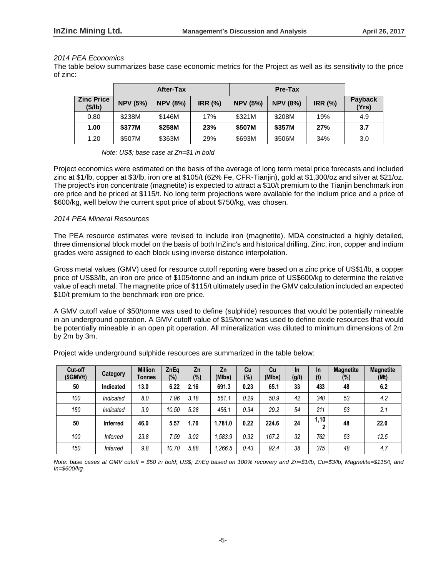# *2014 PEA Economics*

The table below summarizes base case economic metrics for the Project as well as its sensitivity to the price of zinc:

|                              |                 | <b>After-Tax</b> |                |                 | Pre-Tax         |                |                  |
|------------------------------|-----------------|------------------|----------------|-----------------|-----------------|----------------|------------------|
| <b>Zinc Price</b><br>(\$/lb) | <b>NPV (5%)</b> | <b>NPV (8%)</b>  | <b>IRR (%)</b> | <b>NPV (5%)</b> | <b>NPV (8%)</b> | <b>IRR (%)</b> | Payback<br>(Yrs) |
| 0.80                         | \$238M          | \$146M           | 17%            | \$321M          | \$208M          | 19%            | 4.9              |
| 1.00                         | \$377M          | \$258M           | 23%            | \$507M          | \$357M          | 27%            | 3.7              |
| 1.20                         | \$507M          | \$363M           | 29%            | \$693M          | \$506M          | 34%            | 3.0              |

*Note: US\$; base case at Zn=\$1 in bold*

Project economics were estimated on the basis of the average of long term metal price forecasts and included zinc at \$1/lb, copper at \$3/lb, iron ore at \$105/t (62% Fe, CFR-Tianjin), gold at \$1,300/oz and silver at \$21/oz. The project's iron concentrate (magnetite) is expected to attract a \$10/t premium to the Tianjin benchmark iron ore price and be priced at \$115/t. No long term projections were available for the indium price and a price of \$600/kg, well below the current spot price of about \$750/kg, was chosen.

# *2014 PEA Mineral Resources*

The PEA resource estimates were revised to include iron (magnetite). MDA constructed a highly detailed, three dimensional block model on the basis of both InZinc's and historical drilling. Zinc, iron, copper and indium grades were assigned to each block using inverse distance interpolation.

Gross metal values (GMV) used for resource cutoff reporting were based on a zinc price of US\$1/lb, a copper price of US\$3/lb, an iron ore price of \$105/tonne and an indium price of US\$600/kg to determine the relative value of each metal. The magnetite price of \$115/t ultimately used in the GMV calculation included an expected \$10/t premium to the benchmark iron ore price.

A GMV cutoff value of \$50/tonne was used to define (sulphide) resources that would be potentially mineable in an underground operation. A GMV cutoff value of \$15/tonne was used to define oxide resources that would be potentially mineable in an open pit operation. All mineralization was diluted to minimum dimensions of 2m by 2m by 3m.

| Cut-off<br>(SGMV/t) | Category        | <b>Million</b><br>Tonnes | <b>ZnEa</b><br>(%) | Zn<br>(%) | Zn<br>(MIbs) | Cu<br>$(\%)$ | Cu<br>(MIbs) | <b>In</b><br>(g/t) | <b>In</b><br>(t) | <b>Magnetite</b><br>$(\%)$ | <b>Magnetite</b><br>(Mt) |
|---------------------|-----------------|--------------------------|--------------------|-----------|--------------|--------------|--------------|--------------------|------------------|----------------------------|--------------------------|
| 50                  | Indicated       | 13.0                     | 6.22               | 2.16      | 691.3        | 0.23         | 65.1         | 33                 | 433              | 48                         | 6.2                      |
| 100                 | Indicated       | 8.0                      | 7.96               | 3.18      | 561.1        | 0.29         | 50.9         | 42                 | 340              | 53                         | 4.2                      |
| 150                 | Indicated       | 3.9                      | 10.50              | 5.28      | 456.1        | 0.34         | 29.2         | 54                 | 211              | 53                         | 2.1                      |
| 50                  | <b>Inferred</b> | 46.0                     | 5.57               | 1.76      | 1.781.0      | 0.22         | 224.6        | 24                 | 1,10             | 48                         | 22.0                     |
| 100                 | <b>Inferred</b> | 23.8                     | 7.59               | 3.02      | 1.583.9      | 0.32         | 167.2        | 32                 | 762              | 53                         | 12.5                     |
| 150                 | <b>Inferred</b> | 9.8                      | 10.70              | 5.88      | 1.266.5      | 0.43         | 92.4         | 38                 | 375              | 48                         | 4.7                      |

Project wide underground sulphide resources are summarized in the table below:

*Note: base cases at GMV cutoff = \$50 in bold; US\$; ZnEq based on 100% recovery and Zn=\$1/lb, Cu=\$3/lb, Magnetite=\$115/t, and In=\$600/kg*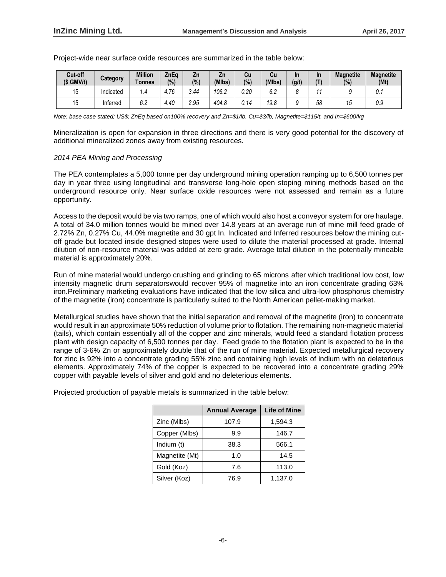| Cut-off<br>$(S \text{ GMV/t})$ | Category  | <b>Million</b><br>Tonnes | ZnEa<br>(%) | Zn<br>(%) | Zn<br>(MIbs) | Сu<br>(%) | Cu<br>(MIbs)         | In<br>(g/t) | In | <b>Magnetite</b><br>(%) | <b>Magnetite</b><br>(Mt) |
|--------------------------------|-----------|--------------------------|-------------|-----------|--------------|-----------|----------------------|-------------|----|-------------------------|--------------------------|
|                                | Indicated | i .4                     | 4.76        | 3.44      | 106.2        | 0.20      | $\sim$ $\sim$<br>v.z |             |    |                         | υ. ι                     |
| 15                             | Inferred  | 6.2                      | 4.40        | 2.95      | 404.8        | J.14      | 19.8                 |             | 58 | 10                      | 0.9                      |

Project-wide near surface oxide resources are summarized in the table below:

*Note: base case stated; US\$; ZnEq based on100% recovery and Zn=\$1/lb, Cu=\$3/lb, Magnetite=\$115/t, and In=\$600/kg*

Mineralization is open for expansion in three directions and there is very good potential for the discovery of additional mineralized zones away from existing resources.

# *2014 PEA Mining and Processing*

The PEA contemplates a 5,000 tonne per day underground mining operation ramping up to 6,500 tonnes per day in year three using longitudinal and transverse long-hole open stoping mining methods based on the underground resource only. Near surface oxide resources were not assessed and remain as a future opportunity.

Access to the deposit would be via two ramps, one of which would also host a conveyor system for ore haulage. A total of 34.0 million tonnes would be mined over 14.8 years at an average run of mine mill feed grade of 2.72% Zn, 0.27% Cu, 44.0% magnetite and 30 gpt In. Indicated and Inferred resources below the mining cutoff grade but located inside designed stopes were used to dilute the material processed at grade. Internal dilution of non-resource material was added at zero grade. Average total dilution in the potentially mineable material is approximately 20%.

Run of mine material would undergo crushing and grinding to 65 microns after which traditional low cost, low intensity magnetic drum separatorswould recover 95% of magnetite into an iron concentrate grading 63% iron.Preliminary marketing evaluations have indicated that the low silica and ultra-low phosphorus chemistry of the magnetite (iron) concentrate is particularly suited to the North American pellet-making market.

Metallurgical studies have shown that the initial separation and removal of the magnetite (iron) to concentrate would result in an approximate 50% reduction of volume prior to flotation. The remaining non-magnetic material (tails), which contain essentially all of the copper and zinc minerals, would feed a standard flotation process plant with design capacity of 6,500 tonnes per day. Feed grade to the flotation plant is expected to be in the range of 3-6% Zn or approximately double that of the run of mine material. Expected metallurgical recovery for zinc is 92% into a concentrate grading 55% zinc and containing high levels of indium with no deleterious elements. Approximately 74% of the copper is expected to be recovered into a concentrate grading 29% copper with payable levels of silver and gold and no deleterious elements.

Projected production of payable metals is summarized in the table below:

|                | <b>Annual Average</b> | <b>Life of Mine</b> |
|----------------|-----------------------|---------------------|
|                |                       |                     |
| Zinc (Mlbs)    | 107.9                 | 1,594.3             |
| Copper (Mlbs)  | 9.9                   | 146.7               |
| Indium (t)     | 38.3                  | 566.1               |
| Magnetite (Mt) | 1.0                   | 14.5                |
| Gold (Koz)     | 7.6                   | 113.0               |
| Silver (Koz)   | 76.9                  | 1,137.0             |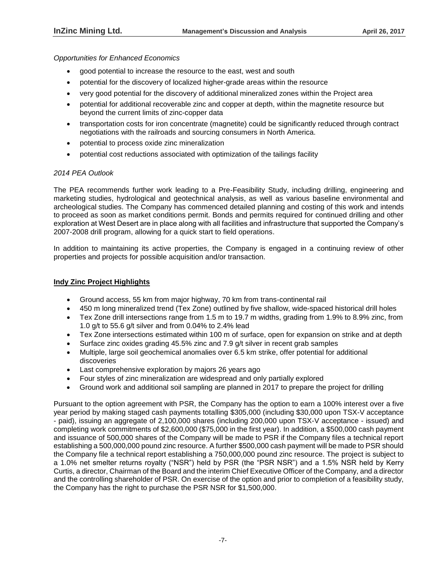*Opportunities for Enhanced Economics*

- good potential to increase the resource to the east, west and south
- potential for the discovery of localized higher-grade areas within the resource
- very good potential for the discovery of additional mineralized zones within the Project area
- potential for additional recoverable zinc and copper at depth, within the magnetite resource but beyond the current limits of zinc-copper data
- transportation costs for iron concentrate (magnetite) could be significantly reduced through contract negotiations with the railroads and sourcing consumers in North America.
- potential to process oxide zinc mineralization
- potential cost reductions associated with optimization of the tailings facility

# *2014 PEA Outlook*

The PEA recommends further work leading to a Pre-Feasibility Study, including drilling, engineering and marketing studies, hydrological and geotechnical analysis, as well as various baseline environmental and archeological studies. The Company has commenced detailed planning and costing of this work and intends to proceed as soon as market conditions permit. Bonds and permits required for continued drilling and other exploration at West Desert are in place along with all facilities and infrastructure that supported the Company's 2007-2008 drill program, allowing for a quick start to field operations.

In addition to maintaining its active properties, the Company is engaged in a continuing review of other properties and projects for possible acquisition and/or transaction.

# **Indy Zinc Project Highlights**

- Ground access, 55 km from major highway, 70 km from trans-continental rail
- 450 m long mineralized trend (Tex Zone) outlined by five shallow, wide-spaced historical drill holes
- Tex Zone drill intersections range from 1.5 m to 19.7 m widths, grading from 1.9% to 8.9% zinc, from 1.0 g/t to 55.6 g/t silver and from 0.04% to 2.4% lead
- Tex Zone intersections estimated within 100 m of surface, open for expansion on strike and at depth
- Surface zinc oxides grading 45.5% zinc and 7.9 g/t silver in recent grab samples
- Multiple, large soil geochemical anomalies over 6.5 km strike, offer potential for additional discoveries
- Last comprehensive exploration by majors 26 years ago
- Four styles of zinc mineralization are widespread and only partially explored
- Ground work and additional soil sampling are planned in 2017 to prepare the project for drilling

Pursuant to the option agreement with PSR, the Company has the option to earn a 100% interest over a five year period by making staged cash payments totalling \$305,000 (including \$30,000 upon TSX-V acceptance - paid), issuing an aggregate of 2,100,000 shares (including 200,000 upon TSX-V acceptance - issued) and completing work commitments of \$2,600,000 (\$75,000 in the first year). In addition, a \$500,000 cash payment and issuance of 500,000 shares of the Company will be made to PSR if the Company files a technical report establishing a 500,000,000 pound zinc resource. A further \$500,000 cash payment will be made to PSR should the Company file a technical report establishing a 750,000,000 pound zinc resource. The project is subject to a 1.0% net smelter returns royalty ("NSR") held by PSR (the "PSR NSR") and a 1.5% NSR held by Kerry Curtis, a director, Chairman of the Board and the interim Chief Executive Officer of the Company, and a director and the controlling shareholder of PSR. On exercise of the option and prior to completion of a feasibility study, the Company has the right to purchase the PSR NSR for \$1,500,000.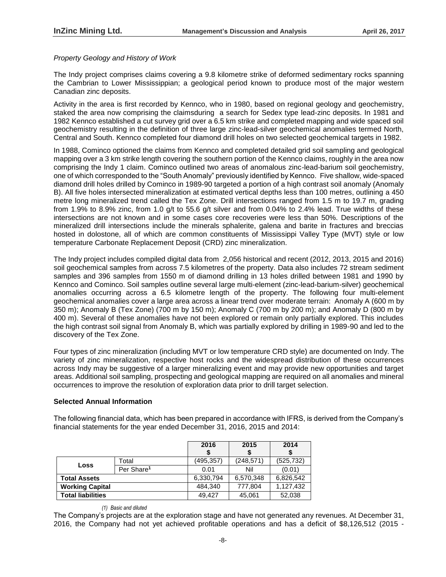# *Property Geology and History of Work*

The Indy project comprises claims covering a 9.8 kilometre strike of deformed sedimentary rocks spanning the Cambrian to Lower Mississippian; a geological period known to produce most of the major western Canadian zinc deposits.

Activity in the area is first recorded by Kennco, who in 1980, based on regional geology and geochemistry, staked the area now comprising the claimsduring a search for Sedex type lead-zinc deposits. In 1981 and 1982 Kennco established a cut survey grid over a 6.5 km strike and completed mapping and wide spaced soil geochemistry resulting in the definition of three large zinc-lead-silver geochemical anomalies termed North, Central and South. Kennco completed four diamond drill holes on two selected geochemical targets in 1982.

In 1988, Cominco optioned the claims from Kennco and completed detailed grid soil sampling and geological mapping over a 3 km strike length covering the southern portion of the Kennco claims, roughly in the area now comprising the Indy 1 claim. Cominco outlined two areas of anomalous zinc-lead-barium soil geochemistry, one of which corresponded to the "South Anomaly" previously identified by Kennco. Five shallow, wide-spaced diamond drill holes drilled by Cominco in 1989-90 targeted a portion of a high contrast soil anomaly (Anomaly B). All five holes intersected mineralization at estimated vertical depths less than 100 metres, outlining a 450 metre long mineralized trend called the Tex Zone. Drill intersections ranged from 1.5 m to 19.7 m, grading from 1.9% to 8.9% zinc, from 1.0 g/t to 55.6 g/t silver and from 0.04% to 2.4% lead. True widths of these intersections are not known and in some cases core recoveries were less than 50%. Descriptions of the mineralized drill intersections include the minerals sphalerite, galena and barite in fractures and breccias hosted in dolostone, all of which are common constituents of Mississippi Valley Type (MVT) style or low temperature Carbonate Replacement Deposit (CRD) zinc mineralization.

The Indy project includes compiled digital data from 2,056 historical and recent (2012, 2013, 2015 and 2016) soil geochemical samples from across 7.5 kilometres of the property. Data also includes 72 stream sediment samples and 396 samples from 1550 m of diamond drilling in 13 holes drilled between 1981 and 1990 by Kennco and Cominco. Soil samples outline several large multi-element (zinc-lead-barium-silver) geochemical anomalies occurring across a 6.5 kilometre length of the property. The following four multi-element geochemical anomalies cover a large area across a linear trend over moderate terrain: Anomaly A (600 m by 350 m); Anomaly B (Tex Zone) (700 m by 150 m); Anomaly C (700 m by 200 m); and Anomaly D (800 m by 400 m). Several of these anomalies have not been explored or remain only partially explored. This includes the high contrast soil signal from Anomaly B, which was partially explored by drilling in 1989-90 and led to the discovery of the Tex Zone.

Four types of zinc mineralization (including MVT or low temperature CRD style) are documented on Indy. The variety of zinc mineralization, respective host rocks and the widespread distribution of these occurrences across Indy may be suggestive of a larger mineralizing event and may provide new opportunities and target areas. Additional soil sampling, prospecting and geological mapping are required on all anomalies and mineral occurrences to improve the resolution of exploration data prior to drill target selection.

# **Selected Annual Information**

The following financial data, which has been prepared in accordance with IFRS, is derived from the Company's financial statements for the year ended December 31, 2016, 2015 and 2014:

|                          |                        | 2016      | 2015       | 2014      |
|--------------------------|------------------------|-----------|------------|-----------|
|                          |                        |           |            |           |
|                          | Total                  | (495,357) | (248, 571) | (525,732) |
| Loss                     | Per Share <sup>1</sup> | 0.01      | Nil        | (0.01)    |
| <b>Total Assets</b>      |                        | 6,330,794 | 6,570,348  | 6,826,542 |
| <b>Working Capital</b>   |                        | 484.340   | 777,804    | 1,127,432 |
| <b>Total liabilities</b> |                        | 49.427    | 45,061     | 52,038    |

*(1) Basic and diluted*

The Company's projects are at the exploration stage and have not generated any revenues. At December 31, 2016, the Company had not yet achieved profitable operations and has a deficit of \$8,126,512 (2015 -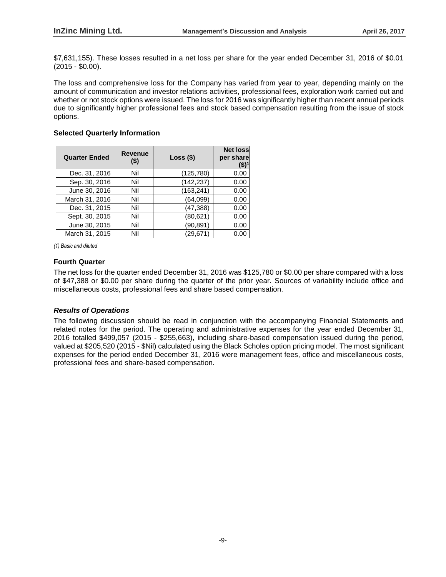\$7,631,155). These losses resulted in a net loss per share for the year ended December 31, 2016 of \$0.01 (2015 - \$0.00).

The loss and comprehensive loss for the Company has varied from year to year, depending mainly on the amount of communication and investor relations activities, professional fees, exploration work carried out and whether or not stock options were issued. The loss for 2016 was significantly higher than recent annual periods due to significantly higher professional fees and stock based compensation resulting from the issue of stock options.

# **Selected Quarterly Information**

| <b>Quarter Ended</b> | <b>Revenue</b><br>$($ \$) | $Loss($ \$) | <b>Net loss</b><br>per share<br>(\$) |
|----------------------|---------------------------|-------------|--------------------------------------|
| Dec. 31, 2016        | Nil                       | (125, 780)  | 0.00                                 |
| Sep. 30, 2016        | Nil                       | (142, 237)  | 0.00                                 |
| June 30, 2016        | Nil                       | (163, 241)  | 0.00                                 |
| March 31, 2016       | Nil                       | (64,099)    | 0.00                                 |
| Dec. 31, 2015        | Nil                       | (47, 388)   | 0.00                                 |
| Sept. 30, 2015       | Nil                       | (80,621)    | 0.00                                 |
| June 30, 2015        | Nil                       | (90,891)    | 0.00                                 |
| March 31, 2015       | Nil                       | (29,671)    | 0.00                                 |

*(1) Basic and diluted*

# **Fourth Quarter**

The net loss for the quarter ended December 31, 2016 was \$125,780 or \$0.00 per share compared with a loss of \$47,388 or \$0.00 per share during the quarter of the prior year. Sources of variability include office and miscellaneous costs, professional fees and share based compensation.

# *Results of Operations*

The following discussion should be read in conjunction with the accompanying Financial Statements and related notes for the period. The operating and administrative expenses for the year ended December 31, 2016 totalled \$499,057 (2015 - \$255,663), including share-based compensation issued during the period, valued at \$205,520 (2015 - \$Nil) calculated using the Black Scholes option pricing model. The most significant expenses for the period ended December 31, 2016 were management fees, office and miscellaneous costs, professional fees and share-based compensation.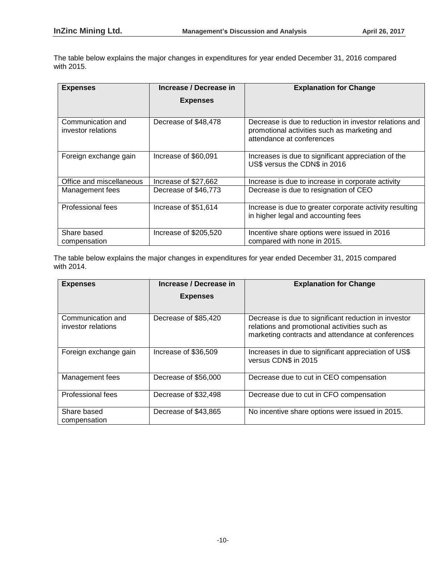The table below explains the major changes in expenditures for year ended December 31, 2016 compared with 2015.

| <b>Expenses</b>                         | Increase / Decrease in | <b>Explanation for Change</b>                                                                                                       |
|-----------------------------------------|------------------------|-------------------------------------------------------------------------------------------------------------------------------------|
|                                         | <b>Expenses</b>        |                                                                                                                                     |
|                                         |                        |                                                                                                                                     |
| Communication and<br>investor relations | Decrease of \$48,478   | Decrease is due to reduction in investor relations and<br>promotional activities such as marketing and<br>attendance at conferences |
| Foreign exchange gain                   | Increase of \$60,091   | Increases is due to significant appreciation of the<br>US\$ versus the CDN\$ in 2016                                                |
| Office and miscellaneous                | Increase of \$27,662   | Increase is due to increase in corporate activity                                                                                   |
| Management fees                         | Decrease of \$46,773   | Decrease is due to resignation of CEO                                                                                               |
| Professional fees                       | Increase of \$51,614   | Increase is due to greater corporate activity resulting<br>in higher legal and accounting fees                                      |
| Share based<br>compensation             | Increase of \$205,520  | Incentive share options were issued in 2016<br>compared with none in 2015.                                                          |

The table below explains the major changes in expenditures for year ended December 31, 2015 compared with 2014.

| Increase / Decrease in<br><b>Expenses</b> |                      | <b>Explanation for Change</b>                                                                                                                             |
|-------------------------------------------|----------------------|-----------------------------------------------------------------------------------------------------------------------------------------------------------|
|                                           | <b>Expenses</b>      |                                                                                                                                                           |
|                                           |                      |                                                                                                                                                           |
| Communication and<br>investor relations   | Decrease of \$85,420 | Decrease is due to significant reduction in investor<br>relations and promotional activities such as<br>marketing contracts and attendance at conferences |
| Foreign exchange gain                     | Increase of \$36,509 | Increases in due to significant appreciation of US\$<br>versus CDN\$ in 2015                                                                              |
| Management fees                           | Decrease of \$56,000 | Decrease due to cut in CEO compensation                                                                                                                   |
| Professional fees                         | Decrease of \$32,498 | Decrease due to cut in CFO compensation                                                                                                                   |
| Share based<br>compensation               | Decrease of \$43,865 | No incentive share options were issued in 2015.                                                                                                           |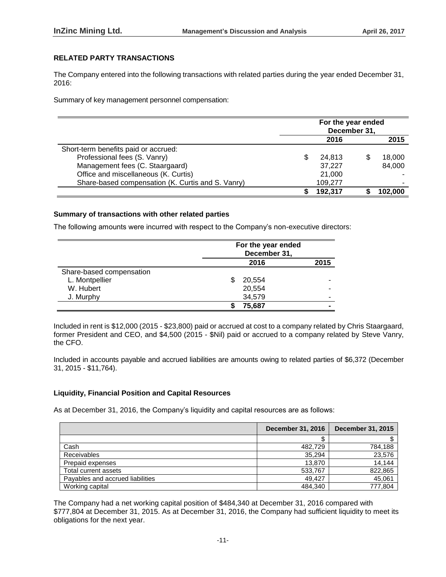# **RELATED PARTY TRANSACTIONS**

The Company entered into the following transactions with related parties during the year ended December 31, 2016:

Summary of key management personnel compensation:

|                                                   | For the year ended<br>December 31, |         |  |         |
|---------------------------------------------------|------------------------------------|---------|--|---------|
|                                                   | 2016<br>2015                       |         |  |         |
| Short-term benefits paid or accrued:              |                                    |         |  |         |
| Professional fees (S. Vanry)                      |                                    | 24.813  |  | 18,000  |
| Management fees (C. Staargaard)                   |                                    | 37,227  |  | 84,000  |
| Office and miscellaneous (K. Curtis)              |                                    | 21,000  |  |         |
| Share-based compensation (K. Curtis and S. Vanry) |                                    | 109,277 |  |         |
|                                                   |                                    | 192.317 |  | 102.000 |

# **Summary of transactions with other related parties**

The following amounts were incurred with respect to the Company's non-executive directors:

|                          | For the year ended<br>December 31, |        |  |  |
|--------------------------|------------------------------------|--------|--|--|
|                          | 2016                               |        |  |  |
| Share-based compensation |                                    |        |  |  |
| L. Montpellier           | \$                                 | 20,554 |  |  |
| W. Hubert                |                                    | 20,554 |  |  |
| J. Murphy                |                                    | 34,579 |  |  |
|                          |                                    | 75,687 |  |  |

Included in rent is \$12,000 (2015 - \$23,800) paid or accrued at cost to a company related by Chris Staargaard, former President and CEO, and \$4,500 (2015 - \$Nil) paid or accrued to a company related by Steve Vanry, the CFO.

Included in accounts payable and accrued liabilities are amounts owing to related parties of \$6,372 (December 31, 2015 - \$11,764).

# **Liquidity, Financial Position and Capital Resources**

As at December 31, 2016, the Company's liquidity and capital resources are as follows:

|                                  | <b>December 31, 2016</b> | <b>December 31, 2015</b> |
|----------------------------------|--------------------------|--------------------------|
|                                  |                          |                          |
| Cash                             | 482.729                  | 784,188                  |
| <b>Receivables</b>               | 35.294                   | 23,576                   |
| Prepaid expenses                 | 13.870                   | 14,144                   |
| Total current assets             | 533,767                  | 822,865                  |
| Payables and accrued liabilities | 49.427                   | 45,061                   |
| Working capital                  | 484.340                  | 777,804                  |

The Company had a net working capital position of \$484,340 at December 31, 2016 compared with \$777,804 at December 31, 2015. As at December 31, 2016, the Company had sufficient liquidity to meet its obligations for the next year.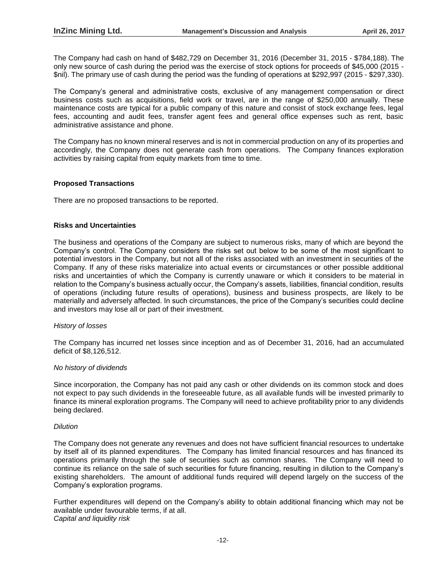The Company had cash on hand of \$482,729 on December 31, 2016 (December 31, 2015 - \$784,188). The only new source of cash during the period was the exercise of stock options for proceeds of \$45,000 (2015 - \$nil). The primary use of cash during the period was the funding of operations at \$292,997 (2015 - \$297,330).

The Company's general and administrative costs, exclusive of any management compensation or direct business costs such as acquisitions, field work or travel, are in the range of \$250,000 annually. These maintenance costs are typical for a public company of this nature and consist of stock exchange fees, legal fees, accounting and audit fees, transfer agent fees and general office expenses such as rent, basic administrative assistance and phone.

The Company has no known mineral reserves and is not in commercial production on any of its properties and accordingly, the Company does not generate cash from operations. The Company finances exploration activities by raising capital from equity markets from time to time.

# **Proposed Transactions**

There are no proposed transactions to be reported.

### **Risks and Uncertainties**

The business and operations of the Company are subject to numerous risks, many of which are beyond the Company's control. The Company considers the risks set out below to be some of the most significant to potential investors in the Company, but not all of the risks associated with an investment in securities of the Company. If any of these risks materialize into actual events or circumstances or other possible additional risks and uncertainties of which the Company is currently unaware or which it considers to be material in relation to the Company's business actually occur, the Company's assets, liabilities, financial condition, results of operations (including future results of operations), business and business prospects, are likely to be materially and adversely affected. In such circumstances, the price of the Company's securities could decline and investors may lose all or part of their investment.

#### *History of losses*

The Company has incurred net losses since inception and as of December 31, 2016, had an accumulated deficit of \$8,126,512.

#### *No history of dividends*

Since incorporation, the Company has not paid any cash or other dividends on its common stock and does not expect to pay such dividends in the foreseeable future, as all available funds will be invested primarily to finance its mineral exploration programs. The Company will need to achieve profitability prior to any dividends being declared.

#### *Dilution*

The Company does not generate any revenues and does not have sufficient financial resources to undertake by itself all of its planned expenditures. The Company has limited financial resources and has financed its operations primarily through the sale of securities such as common shares. The Company will need to continue its reliance on the sale of such securities for future financing, resulting in dilution to the Company's existing shareholders. The amount of additional funds required will depend largely on the success of the Company's exploration programs.

Further expenditures will depend on the Company's ability to obtain additional financing which may not be available under favourable terms, if at all. *Capital and liquidity risk*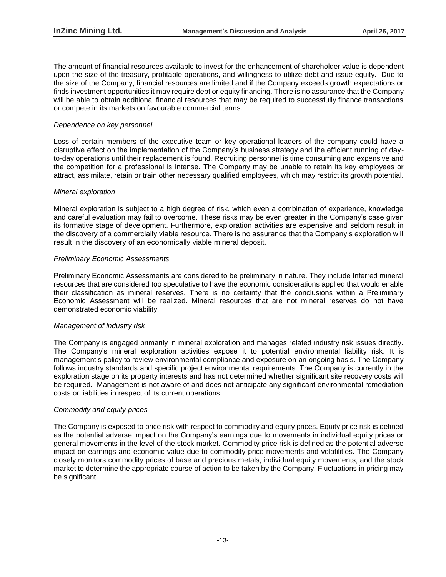The amount of financial resources available to invest for the enhancement of shareholder value is dependent upon the size of the treasury, profitable operations, and willingness to utilize debt and issue equity. Due to the size of the Company, financial resources are limited and if the Company exceeds growth expectations or finds investment opportunities it may require debt or equity financing. There is no assurance that the Company will be able to obtain additional financial resources that may be required to successfully finance transactions or compete in its markets on favourable commercial terms.

# *Dependence on key personnel*

Loss of certain members of the executive team or key operational leaders of the company could have a disruptive effect on the implementation of the Company's business strategy and the efficient running of dayto-day operations until their replacement is found. Recruiting personnel is time consuming and expensive and the competition for a professional is intense. The Company may be unable to retain its key employees or attract, assimilate, retain or train other necessary qualified employees, which may restrict its growth potential.

# *Mineral exploration*

Mineral exploration is subject to a high degree of risk, which even a combination of experience, knowledge and careful evaluation may fail to overcome. These risks may be even greater in the Company's case given its formative stage of development. Furthermore, exploration activities are expensive and seldom result in the discovery of a commercially viable resource. There is no assurance that the Company's exploration will result in the discovery of an economically viable mineral deposit.

# *Preliminary Economic Assessments*

Preliminary Economic Assessments are considered to be preliminary in nature. They include Inferred mineral resources that are considered too speculative to have the economic considerations applied that would enable their classification as mineral reserves. There is no certainty that the conclusions within a Preliminary Economic Assessment will be realized. Mineral resources that are not mineral reserves do not have demonstrated economic viability.

# *Management of industry risk*

The Company is engaged primarily in mineral exploration and manages related industry risk issues directly. The Company's mineral exploration activities expose it to potential environmental liability risk. It is management's policy to review environmental compliance and exposure on an ongoing basis. The Company follows industry standards and specific project environmental requirements. The Company is currently in the exploration stage on its property interests and has not determined whether significant site recovery costs will be required. Management is not aware of and does not anticipate any significant environmental remediation costs or liabilities in respect of its current operations.

# *Commodity and equity prices*

The Company is exposed to price risk with respect to commodity and equity prices. Equity price risk is defined as the potential adverse impact on the Company's earnings due to movements in individual equity prices or general movements in the level of the stock market. Commodity price risk is defined as the potential adverse impact on earnings and economic value due to commodity price movements and volatilities. The Company closely monitors commodity prices of base and precious metals, individual equity movements, and the stock market to determine the appropriate course of action to be taken by the Company. Fluctuations in pricing may be significant.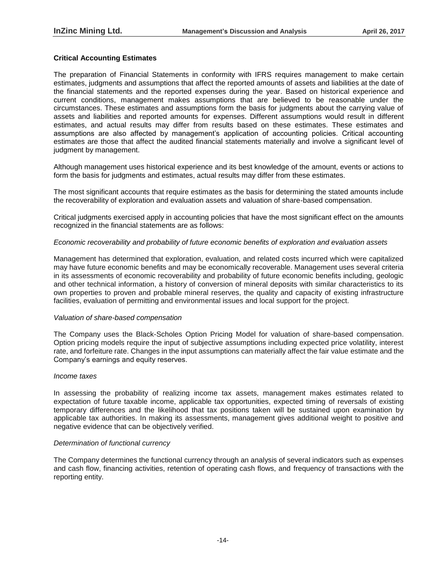# **Critical Accounting Estimates**

The preparation of Financial Statements in conformity with IFRS requires management to make certain estimates, judgments and assumptions that affect the reported amounts of assets and liabilities at the date of the financial statements and the reported expenses during the year. Based on historical experience and current conditions, management makes assumptions that are believed to be reasonable under the circumstances. These estimates and assumptions form the basis for judgments about the carrying value of assets and liabilities and reported amounts for expenses. Different assumptions would result in different estimates, and actual results may differ from results based on these estimates. These estimates and assumptions are also affected by management's application of accounting policies. Critical accounting estimates are those that affect the audited financial statements materially and involve a significant level of judgment by management.

Although management uses historical experience and its best knowledge of the amount, events or actions to form the basis for judgments and estimates, actual results may differ from these estimates.

The most significant accounts that require estimates as the basis for determining the stated amounts include the recoverability of exploration and evaluation assets and valuation of share-based compensation.

Critical judgments exercised apply in accounting policies that have the most significant effect on the amounts recognized in the financial statements are as follows:

# *Economic recoverability and probability of future economic benefits of exploration and evaluation assets*

Management has determined that exploration, evaluation, and related costs incurred which were capitalized may have future economic benefits and may be economically recoverable. Management uses several criteria in its assessments of economic recoverability and probability of future economic benefits including, geologic and other technical information, a history of conversion of mineral deposits with similar characteristics to its own properties to proven and probable mineral reserves, the quality and capacity of existing infrastructure facilities, evaluation of permitting and environmental issues and local support for the project.

# *Valuation of share-based compensation*

The Company uses the Black-Scholes Option Pricing Model for valuation of share-based compensation. Option pricing models require the input of subjective assumptions including expected price volatility, interest rate, and forfeiture rate. Changes in the input assumptions can materially affect the fair value estimate and the Company's earnings and equity reserves.

# *Income taxes*

In assessing the probability of realizing income tax assets, management makes estimates related to expectation of future taxable income, applicable tax opportunities, expected timing of reversals of existing temporary differences and the likelihood that tax positions taken will be sustained upon examination by applicable tax authorities. In making its assessments, management gives additional weight to positive and negative evidence that can be objectively verified.

# *Determination of functional currency*

The Company determines the functional currency through an analysis of several indicators such as expenses and cash flow, financing activities, retention of operating cash flows, and frequency of transactions with the reporting entity.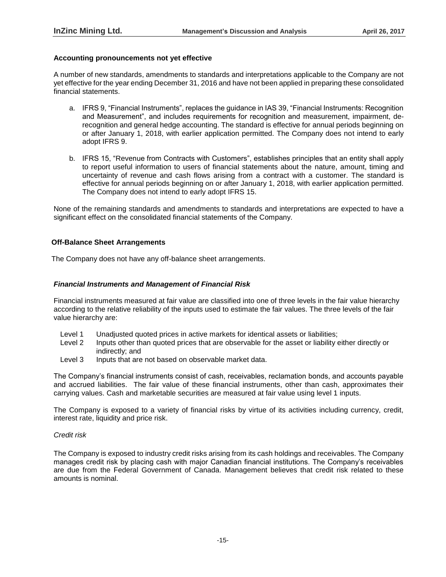### **Accounting pronouncements not yet effective**

A number of new standards, amendments to standards and interpretations applicable to the Company are not yet effective for the year ending December 31, 2016 and have not been applied in preparing these consolidated financial statements.

- a. IFRS 9, "Financial Instruments", replaces the guidance in IAS 39, "Financial Instruments: Recognition and Measurement", and includes requirements for recognition and measurement, impairment, derecognition and general hedge accounting. The standard is effective for annual periods beginning on or after January 1, 2018, with earlier application permitted. The Company does not intend to early adopt IFRS 9.
- b. IFRS 15, "Revenue from Contracts with Customers", establishes principles that an entity shall apply to report useful information to users of financial statements about the nature, amount, timing and uncertainty of revenue and cash flows arising from a contract with a customer. The standard is effective for annual periods beginning on or after January 1, 2018, with earlier application permitted. The Company does not intend to early adopt IFRS 15.

None of the remaining standards and amendments to standards and interpretations are expected to have a significant effect on the consolidated financial statements of the Company.

### **Off-Balance Sheet Arrangements**

The Company does not have any off-balance sheet arrangements.

### *Financial Instruments and Management of Financial Risk*

Financial instruments measured at fair value are classified into one of three levels in the fair value hierarchy according to the relative reliability of the inputs used to estimate the fair values. The three levels of the fair value hierarchy are:

- Level 1 Unadjusted quoted prices in active markets for identical assets or liabilities;
- Level 2 Inputs other than quoted prices that are observable for the asset or liability either directly or indirectly; and
- Level 3 Inputs that are not based on observable market data.

The Company's financial instruments consist of cash, receivables, reclamation bonds, and accounts payable and accrued liabilities. The fair value of these financial instruments, other than cash, approximates their carrying values. Cash and marketable securities are measured at fair value using level 1 inputs.

The Company is exposed to a variety of financial risks by virtue of its activities including currency, credit, interest rate, liquidity and price risk.

# *Credit risk*

The Company is exposed to industry credit risks arising from its cash holdings and receivables. The Company manages credit risk by placing cash with major Canadian financial institutions. The Company's receivables are due from the Federal Government of Canada. Management believes that credit risk related to these amounts is nominal.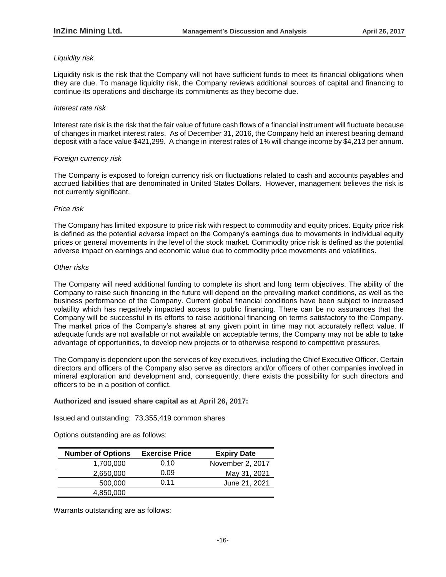# *Liquidity risk*

Liquidity risk is the risk that the Company will not have sufficient funds to meet its financial obligations when they are due. To manage liquidity risk, the Company reviews additional sources of capital and financing to continue its operations and discharge its commitments as they become due.

# *Interest rate risk*

Interest rate risk is the risk that the fair value of future cash flows of a financial instrument will fluctuate because of changes in market interest rates. As of December 31, 2016, the Company held an interest bearing demand deposit with a face value \$421,299. A change in interest rates of 1% will change income by \$4,213 per annum.

# *Foreign currency risk*

The Company is exposed to foreign currency risk on fluctuations related to cash and accounts payables and accrued liabilities that are denominated in United States Dollars. However, management believes the risk is not currently significant.

### *Price risk*

The Company has limited exposure to price risk with respect to commodity and equity prices. Equity price risk is defined as the potential adverse impact on the Company's earnings due to movements in individual equity prices or general movements in the level of the stock market. Commodity price risk is defined as the potential adverse impact on earnings and economic value due to commodity price movements and volatilities.

### *Other risks*

The Company will need additional funding to complete its short and long term objectives. The ability of the Company to raise such financing in the future will depend on the prevailing market conditions, as well as the business performance of the Company. Current global financial conditions have been subject to increased volatility which has negatively impacted access to public financing. There can be no assurances that the Company will be successful in its efforts to raise additional financing on terms satisfactory to the Company. The market price of the Company's shares at any given point in time may not accurately reflect value. If adequate funds are not available or not available on acceptable terms, the Company may not be able to take advantage of opportunities, to develop new projects or to otherwise respond to competitive pressures.

The Company is dependent upon the services of key executives, including the Chief Executive Officer. Certain directors and officers of the Company also serve as directors and/or officers of other companies involved in mineral exploration and development and, consequently, there exists the possibility for such directors and officers to be in a position of conflict.

# **Authorized and issued share capital as at April 26, 2017:**

Issued and outstanding: 73,355,419 common shares

Options outstanding are as follows:

| <b>Number of Options</b> | <b>Exercise Price</b> | <b>Expiry Date</b> |
|--------------------------|-----------------------|--------------------|
| 1,700,000                | 0.10                  | November 2, 2017   |
| 2,650,000                | 0.09                  | May 31, 2021       |
| 500,000                  | 0.11                  | June 21, 2021      |
| 4,850,000                |                       |                    |

Warrants outstanding are as follows: